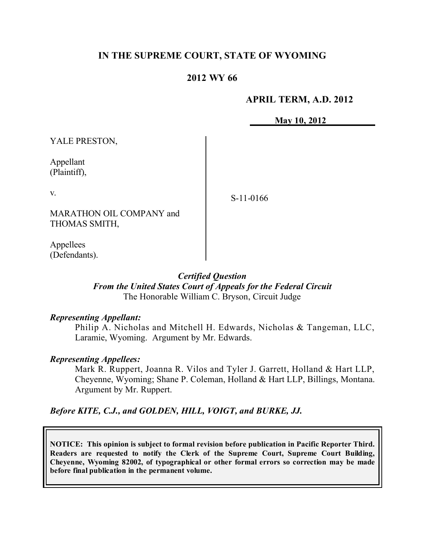## **IN THE SUPREME COURT, STATE OF WYOMING**

## **2012 WY 66**

## **APRIL TERM, A.D. 2012**

**May 10, 2012**

YALE PRESTON,

Appellant (Plaintiff),

v.

S-11-0166

MARATHON OIL COMPANY and THOMAS SMITH,

Appellees (Defendants).

## *Certified Question*

*From the United States Court of Appeals for the Federal Circuit* The Honorable William C. Bryson, Circuit Judge

## *Representing Appellant:*

Philip A. Nicholas and Mitchell H. Edwards, Nicholas & Tangeman, LLC, Laramie, Wyoming. Argument by Mr. Edwards.

## *Representing Appellees:*

Mark R. Ruppert, Joanna R. Vilos and Tyler J. Garrett, Holland & Hart LLP, Cheyenne, Wyoming; Shane P. Coleman, Holland & Hart LLP, Billings, Montana. Argument by Mr. Ruppert.

*Before KITE, C.J., and GOLDEN, HILL, VOIGT, and BURKE, JJ.*

**NOTICE: This opinion is subject to formal revision before publication in Pacific Reporter Third. Readers are requested to notify the Clerk of the Supreme Court, Supreme Court Building, Cheyenne, Wyoming 82002, of typographical or other formal errors so correction may be made before final publication in the permanent volume.**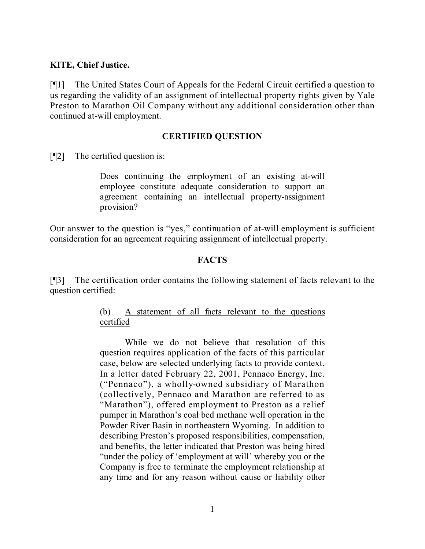## **KITE, Chief Justice.**

[¶1] The United States Court of Appeals for the Federal Circuit certified a question to us regarding the validity of an assignment of intellectual property rights given by Yale Preston to Marathon Oil Company without any additional consideration other than continued at-will employment.

## **CERTIFIED QUESTION**

[¶2] The certified question is:

Does continuing the employment of an existing at-will employee constitute adequate consideration to support an agreement containing an intellectual property-assignment provision?

Our answer to the question is "yes," continuation of at-will employment is sufficient consideration for an agreement requiring assignment of intellectual property.

## **FACTS**

[¶3] The certification order contains the following statement of facts relevant to the question certified:

# (b) A statement of all facts relevant to the questions certified

While we do not believe that resolution of this question requires application of the facts of this particular case, below are selected underlying facts to provide context. In a letter dated February 22, 2001, Pennaco Energy, Inc. ("Pennaco"), a wholly-owned subsidiary of Marathon (collectively, Pennaco and Marathon are referred to as "Marathon"), offered employment to Preston as a relief pumper in Marathon's coal bed methane well operation in the Powder River Basin in northeastern Wyoming. In addition to describing Preston's proposed responsibilities, compensation, and benefits, the letter indicated that Preston was being hired "under the policy of 'employment at will' whereby you or the Company is free to terminate the employment relationship at any time and for any reason without cause or liability other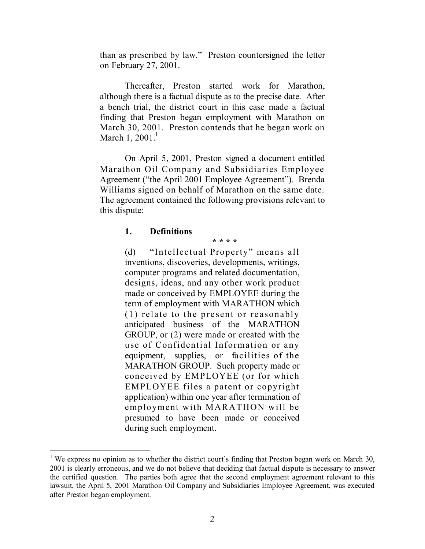than as prescribed by law." Preston countersigned the letter on February 27, 2001.

Thereafter, Preston started work for Marathon, although there is a factual dispute as to the precise date. After a bench trial, the district court in this case made a factual finding that Preston began employment with Marathon on March 30, 2001. Preston contends that he began work on March 1,  $2001<sup>1</sup>$ 

On April 5, 2001, Preston signed a document entitled Marathon Oil Company and Subsidiaries Employee Agreement ("the April 2001 Employee Agreement"). Brenda Williams signed on behalf of Marathon on the same date. The agreement contained the following provisions relevant to this dispute:

**\* \* \* \***

## **1. Definitions**

 $\overline{a}$ 

(d) "Intellectual Property" means all inventions, discoveries, developments, writings, computer programs and related documentation, designs, ideas, and any other work product made or conceived by EMPLOYEE during the term of employment with MARATHON which (1) relate to the present or reasonably anticipated business of the MARATHON GROUP, or (2) were made or created with the use of Confidential Information or any equipment, supplies, or facilities of the MARATHON GROUP. Such property made or conceived by EMPLOYEE (or for which EMPLOYEE files a patent or copyright application) within one year after termination of employment with MARATHON will be presumed to have been made or conceived during such employment.

<sup>&</sup>lt;sup>1</sup> We express no opinion as to whether the district court's finding that Preston began work on March 30, 2001 is clearly erroneous, and we do not believe that deciding that factual dispute is necessary to answer the certified question. The parties both agree that the second employment agreement relevant to this lawsuit, the April 5, 2001 Marathon Oil Company and Subsidiaries Employee Agreement, was executed after Preston began employment.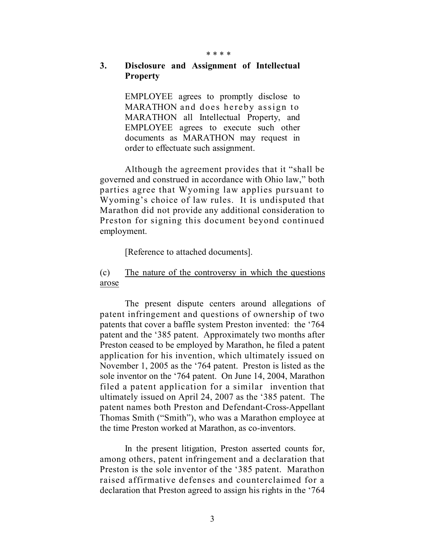#### \* \* \* \*

## **3. Disclosure and Assignment of Intellectual Property**

EMPLOYEE agrees to promptly disclose to MARATHON and does hereby assign to MARATHON all Intellectual Property, and EMPLOYEE agrees to execute such other documents as MARATHON may request in order to effectuate such assignment.

Although the agreement provides that it "shall be governed and construed in accordance with Ohio law," both parties agree that Wyoming law applies pursuant to Wyoming's choice of law rules. It is undisputed that Marathon did not provide any additional consideration to Preston for signing this document beyond continued employment.

[Reference to attached documents].

## (c) The nature of the controversy in which the questions arose

The present dispute centers around allegations of patent infringement and questions of ownership of two patents that cover a baffle system Preston invented: the '764 patent and the '385 patent. Approximately two months after Preston ceased to be employed by Marathon, he filed a patent application for his invention, which ultimately issued on November 1, 2005 as the '764 patent. Preston is listed as the sole inventor on the '764 patent. On June 14, 2004, Marathon filed a patent application for a similar invention that ultimately issued on April 24, 2007 as the '385 patent. The patent names both Preston and Defendant-Cross-Appellant Thomas Smith ("Smith"), who was a Marathon employee at the time Preston worked at Marathon, as co-inventors.

In the present litigation, Preston asserted counts for, among others, patent infringement and a declaration that Preston is the sole inventor of the '385 patent. Marathon raised affirmative defenses and counterclaimed for a declaration that Preston agreed to assign his rights in the '764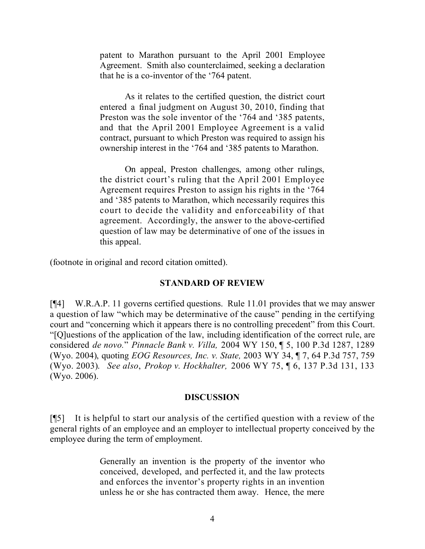patent to Marathon pursuant to the April 2001 Employee Agreement. Smith also counterclaimed, seeking a declaration that he is a co-inventor of the '764 patent.

As it relates to the certified question, the district court entered a final judgment on August 30, 2010, finding that Preston was the sole inventor of the '764 and '385 patents, and that the April 2001 Employee Agreement is a valid contract, pursuant to which Preston was required to assign his ownership interest in the '764 and '385 patents to Marathon.

On appeal, Preston challenges, among other rulings, the district court's ruling that the April 2001 Employee Agreement requires Preston to assign his rights in the '764 and '385 patents to Marathon, which necessarily requires this court to decide the validity and enforceability of that agreement. Accordingly, the answer to the above-certified question of law may be determinative of one of the issues in this appeal.

(footnote in original and record citation omitted).

## **STANDARD OF REVIEW**

[¶4] W.R.A.P. 11 governs certified questions. Rule 11.01 provides that we may answer a question of law "which may be determinative of the cause" pending in the certifying court and "concerning which it appears there is no controlling precedent" from this Court. "[Q]uestions of the application of the law, including identification of the correct rule, are considered *de novo.*" *Pinnacle Bank v. Villa,* 2004 WY 150, ¶ 5, 100 P.3d 1287, 1289 (Wyo. 2004), quoting *EOG Resources, Inc. v. State,* 2003 WY 34, ¶ 7, 64 P.3d 757, 759 (Wyo. 2003). *See also*, *Prokop v. Hockhalter,* 2006 WY 75, ¶ 6, 137 P.3d 131, 133 (Wyo. 2006).

## **DISCUSSION**

[¶5] It is helpful to start our analysis of the certified question with a review of the general rights of an employee and an employer to intellectual property conceived by the employee during the term of employment.

> Generally an invention is the property of the inventor who conceived, developed, and perfected it, and the law protects and enforces the inventor's property rights in an invention unless he or she has contracted them away. Hence, the mere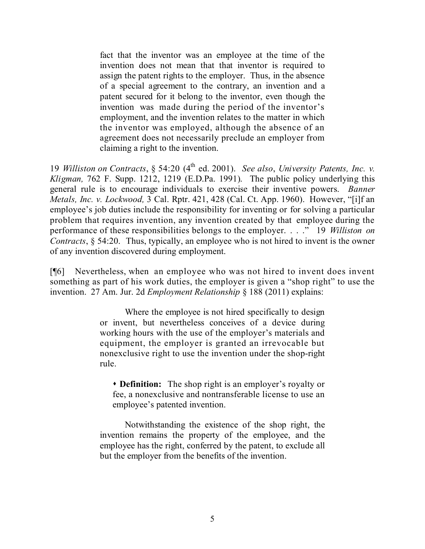fact that the inventor was an employee at the time of the invention does not mean that that inventor is required to assign the patent rights to the employer. Thus, in the absence of a special agreement to the contrary, an invention and a patent secured for it belong to the inventor, even though the invention was made during the period of the inventor's employment, and the invention relates to the matter in which the inventor was employed, although the absence of an agreement does not necessarily preclude an employer from claiming a right to the invention.

19 *Williston on Contracts*, § 54:20 (4th ed. 2001). *See also*, *University Patents, Inc. v. Kligman,* 762 F. Supp. 1212, 1219 (E.D.Pa. 1991). The public policy underlying this general rule is to encourage individuals to exercise their inventive powers. *Banner Metals, Inc. v. Lockwood,* 3 Cal. Rptr. 421, 428 (Cal. Ct. App. 1960). However, "[i]f an employee's job duties include the responsibility for inventing or for solving a particular problem that requires invention, any invention created by that employee during the performance of these responsibilities belongs to the employer. . . ." 19 *Williston on Contracts*, § 54:20.Thus, typically, an employee who is not hired to invent is the owner of any invention discovered during employment.

[¶6] Nevertheless, when an employee who was not hired to invent does invent something as part of his work duties, the employer is given a "shop right" to use the invention.27 Am. Jur. 2d *Employment Relationship* § 188 (2011) explains:

> Where the employee is not hired specifically to design or invent, but nevertheless conceives of a device during working hours with the use of the employer's materials and equipment, the employer is granted an irrevocable but nonexclusive right to use the invention under the shop-right rule.

 **Definition:** The shop right is an employer's royalty or fee, a nonexclusive and nontransferable license to use an employee's patented invention.

Notwithstanding the existence of the shop right, the invention remains the property of the employee, and the employee has the right, conferred by the patent, to exclude all but the employer from the benefits of the invention.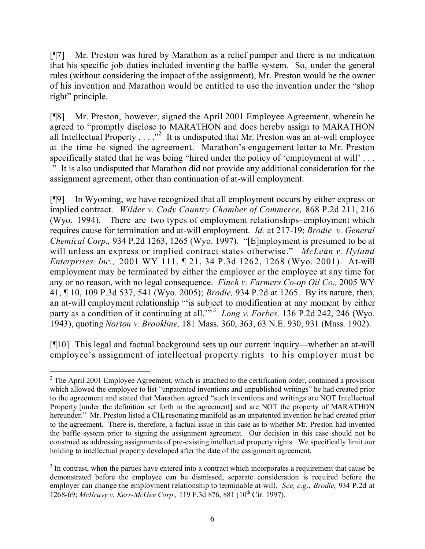[¶7] Mr. Preston was hired by Marathon as a relief pumper and there is no indication that his specific job duties included inventing the baffle system. So, under the general rules (without considering the impact of the assignment), Mr. Preston would be the owner of his invention and Marathon would be entitled to use the invention under the "shop right" principle.

[¶8] Mr. Preston, however, signed the April 2001 Employee Agreement, wherein he agreed to "promptly disclose to MARATHON and does hereby assign to MARATHON all Intellectual Property  $\dots$ ."<sup>2</sup> It is undisputed that Mr. Preston was an at-will employee at the time he signed the agreement. Marathon's engagement letter to Mr. Preston specifically stated that he was being "hired under the policy of 'employment at will' . . . ." It is also undisputed that Marathon did not provide any additional consideration for the assignment agreement, other than continuation of at-will employment.

[¶9] In Wyoming, we have recognized that all employment occurs by either express or implied contract. *Wilder v. Cody Country Chamber of Commerce,* 868 P.2d 211, 216 (Wyo. 1994). There are two types of employment relationships–employment which requires cause for termination and at-will employment. *Id.* at 217-19; *Brodie v. General Chemical Corp.,* 934 P.2d 1263, 1265 (Wyo. 1997). "[E]mployment is presumed to be at will unless an express or implied contract states otherwise." *McLean v. Hyland Enterprises, Inc.,* 2001 WY 111, ¶ 21, 34 P.3d 1262, 1268 (Wyo. 2001). At-will employment may be terminated by either the employer or the employee at any time for any or no reason, with no legal consequence. *Finch v. Farmers Co-op Oil Co.,* 2005 WY 41, ¶ 10, 109 P.3d 537, 541 (Wyo. 2005); *Brodie,* 934 P.2d at 1265. By its nature, then, an at-will employment relationship "'is subject to modification at any moment by either party as a condition of it continuing at all.<sup>33</sup> *Long v. Forbes,* 136 P.2d 242, 246 (Wyo. 1943), quoting *Norton v. Brookline,* 181 Mass. 360, 363, 63 N.E. 930, 931 (Mass. 1902).

[¶10] This legal and factual background sets up our current inquiry—whether an at-will employee's assignment of intellectual property rights to his employer must be

 <sup>2</sup> The April 2001 Employee Agreement, which is attached to the certification order, contained a provision which allowed the employee to list "unpatented inventions and unpublished writings" he had created prior to the agreement and stated that Marathon agreed "such inventions and writings are NOT Intellectual Property [under the definition set forth in the agreement] and are NOT the property of MARATHON hereunder." Mr. Preston listed a CH<sub>4</sub> resonating manifold as an unpatented invention he had created prior to the agreement. There is, therefore, a factual issue in this case as to whether Mr. Preston had invented the baffle system prior to signing the assignment agreement. Our decision in this case should not be construed as addressing assignments of pre-existing intellectual property rights. We specifically limit our holding to intellectual property developed after the date of the assignment agreement.

 $3$  In contrast, when the parties have entered into a contract which incorporates a requirement that cause be demonstrated before the employee can be dismissed, separate consideration is required before the employer can change the employment relationship to terminable at-will. *See, e.g.*, *Brodie,* 934 P.2d at 1268-69; *McIlravy v. Kerr-McGee Corp.,* 119 F.3d 876, 881 (10 th Cir. 1997).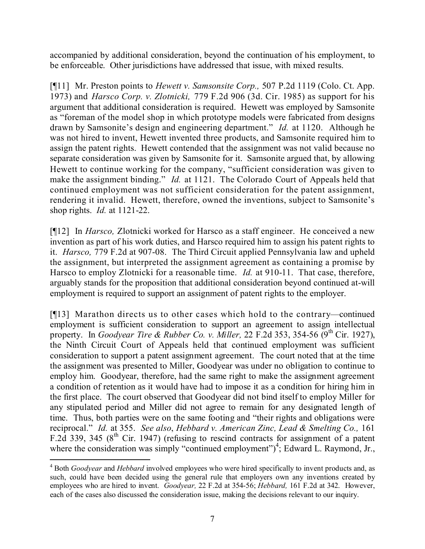accompanied by additional consideration, beyond the continuation of his employment, to be enforceable. Other jurisdictions have addressed that issue, with mixed results.

[¶11] Mr. Preston points to *Hewett v. Samsonsite Corp.,* 507 P.2d 1119 (Colo. Ct. App. 1973) and *Harsco Corp. v. Zlotnicki,* 779 F.2d 906 (3d. Cir. 1985) as support for his argument that additional consideration is required. Hewett was employed by Samsonite as "foreman of the model shop in which prototype models were fabricated from designs drawn by Samsonite's design and engineering department." *Id.* at 1120. Although he was not hired to invent, Hewett invented three products, and Samsonite required him to assign the patent rights. Hewett contended that the assignment was not valid because no separate consideration was given by Samsonite for it. Samsonite argued that, by allowing Hewett to continue working for the company, "sufficient consideration was given to make the assignment binding." *Id.* at 1121. The Colorado Court of Appeals held that continued employment was not sufficient consideration for the patent assignment, rendering it invalid. Hewett, therefore, owned the inventions, subject to Samsonite's shop rights. *Id.* at 1121-22.

[¶12] In *Harsco,* Zlotnicki worked for Harsco as a staff engineer. He conceived a new invention as part of his work duties, and Harsco required him to assign his patent rights to it. *Harsco,* 779 F.2d at 907-08. The Third Circuit applied Pennsylvania law and upheld the assignment, but interpreted the assignment agreement as containing a promise by Harsco to employ Zlotnicki for a reasonable time. *Id.* at 910-11. That case, therefore, arguably stands for the proposition that additional consideration beyond continued at-will employment is required to support an assignment of patent rights to the employer.

[¶13] Marathon directs us to other cases which hold to the contrary—continued employment is sufficient consideration to support an agreement to assign intellectual property. In *Goodyear Tire & Rubber Co. v. Miller,* 22 F.2d 353, 354-56 (9 th Cir. 1927), the Ninth Circuit Court of Appeals held that continued employment was sufficient consideration to support a patent assignment agreement. The court noted that at the time the assignment was presented to Miller, Goodyear was under no obligation to continue to employ him. Goodyear, therefore, had the same right to make the assignment agreement a condition of retention as it would have had to impose it as a condition for hiring him in the first place. The court observed that Goodyear did not bind itself to employ Miller for any stipulated period and Miller did not agree to remain for any designated length of time. Thus, both parties were on the same footing and "their rights and obligations were reciprocal." *Id.* at 355. *See also*, *Hebbard v. American Zinc, Lead & Smelting Co.,* 161 F.2d 339, 345 ( $8<sup>th</sup>$  Cir. 1947) (refusing to rescind contracts for assignment of a patent where the consideration was simply "continued employment")<sup>4</sup>; Edward L. Raymond, Jr.,

 $\overline{a}$ 

<sup>4</sup> Both *Goodyear* and *Hebbard* involved employees who were hired specifically to invent products and, as such, could have been decided using the general rule that employers own any inventions created by employees who are hired to invent. *Goodyear,* 22 F.2d at 354-56; *Hebbard,* 161 F.2d at 342. However, each of the cases also discussed the consideration issue, making the decisions relevant to our inquiry.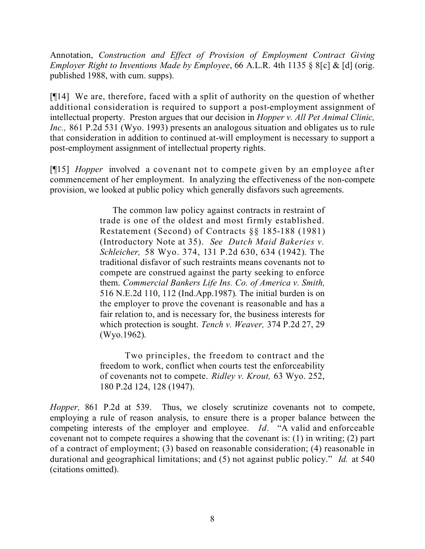Annotation, *Construction and Effect of Provision of Employment Contract Giving Employer Right to Inventions Made by Employee*, 66 A.L.R. 4th 1135 § 8[c] & [d] (orig. published 1988, with cum. supps).

[¶14] We are, therefore, faced with a split of authority on the question of whether additional consideration is required to support a post-employment assignment of intellectual property. Preston argues that our decision in *Hopper v. All Pet Animal Clinic, Inc.,* 861 P.2d 531 (Wyo. 1993) presents an analogous situation and obligates us to rule that consideration in addition to continued at-will employment is necessary to support a post-employment assignment of intellectual property rights.

[¶15] *Hopper* involved a covenant not to compete given by an employee after commencement of her employment. In analyzing the effectiveness of the non-compete provision, we looked at public policy which generally disfavors such agreements.

> The common law policy against contracts in restraint of trade is one of the oldest and most firmly established. Restatement (Second) of Contracts §§ 185-188 (1981) (Introductory Note at 35). *See Dutch Maid Bakeries v. Schleicher,* 58 Wyo. 374, 131 P.2d 630, 634 (1942). The traditional disfavor of such restraints means covenants not to compete are construed against the party seeking to enforce them. *Commercial Bankers Life Ins. Co. of America v. Smith,* 516 N.E.2d 110, 112 (Ind.App.1987). The initial burden is on the employer to prove the covenant is reasonable and has a fair relation to, and is necessary for, the business interests for which protection is sought. *Tench v. Weaver,* 374 P.2d 27, 29 (Wyo.1962).

> Two principles, the freedom to contract and the freedom to work, conflict when courts test the enforceability of covenants not to compete. *Ridley v. Krout,* 63 Wyo. 252, 180 P.2d 124, 128 (1947).

*Hopper,* 861 P.2d at 539. Thus, we closely scrutinize covenants not to compete, employing a rule of reason analysis, to ensure there is a proper balance between the competing interests of the employer and employee. *Id.* "A valid and enforceable covenant not to compete requires a showing that the covenant is: (1) in writing; (2) part of a contract of employment; (3) based on reasonable consideration; (4) reasonable in durational and geographical limitations; and (5) not against public policy." *Id.* at 540 (citations omitted).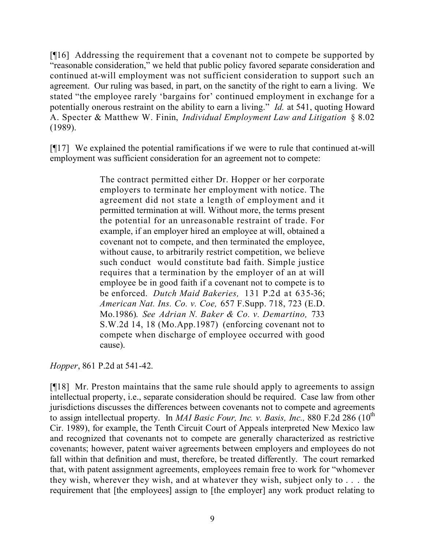[¶16] Addressing the requirement that a covenant not to compete be supported by "reasonable consideration," we held that public policy favored separate consideration and continued at-will employment was not sufficient consideration to support such an agreement. Our ruling was based, in part, on the sanctity of the right to earn a living. We stated "the employee rarely 'bargains for' continued employment in exchange for a potentially onerous restraint on the ability to earn a living." *Id.* at 541, quoting Howard A. Specter & Matthew W. Finin, *Individual Employment Law and Litigation* § 8.02 (1989).

[¶17] We explained the potential ramifications if we were to rule that continued at-will employment was sufficient consideration for an agreement not to compete:

> The contract permitted either Dr. Hopper or her corporate employers to terminate her employment with notice. The agreement did not state a length of employment and it permitted termination at will. Without more, the terms present the potential for an unreasonable restraint of trade. For example, if an employer hired an employee at will, obtained a covenant not to compete, and then terminated the employee, without cause, to arbitrarily restrict competition, we believe such conduct would constitute bad faith. Simple justice requires that a termination by the employer of an at will employee be in good faith if a covenant not to compete is to be enforced. *Dutch Maid Bakeries,* 131 P.2d at 635-36; *American Nat. Ins. Co. v. Coe,* 657 F.Supp. 718, 723 (E.D. Mo.1986). *See Adrian N. Baker & Co. v. Demartino,* 733 S.W.2d 14, 18 (Mo.App.1987) (enforcing covenant not to compete when discharge of employee occurred with good cause).

*Hopper*, 861 P.2d at 541-42.

[¶18] Mr. Preston maintains that the same rule should apply to agreements to assign intellectual property, i.e., separate consideration should be required. Case law from other jurisdictions discusses the differences between covenants not to compete and agreements to assign intellectual property. In *MAI Basic Four, Inc. v. Basis, Inc.,* 880 F.2d 286 (10 th Cir. 1989), for example, the Tenth Circuit Court of Appeals interpreted New Mexico law and recognized that covenants not to compete are generally characterized as restrictive covenants; however, patent waiver agreements between employers and employees do not fall within that definition and must, therefore, be treated differently. The court remarked that, with patent assignment agreements, employees remain free to work for "whomever they wish, wherever they wish, and at whatever they wish, subject only to . . . the requirement that [the employees] assign to [the employer] any work product relating to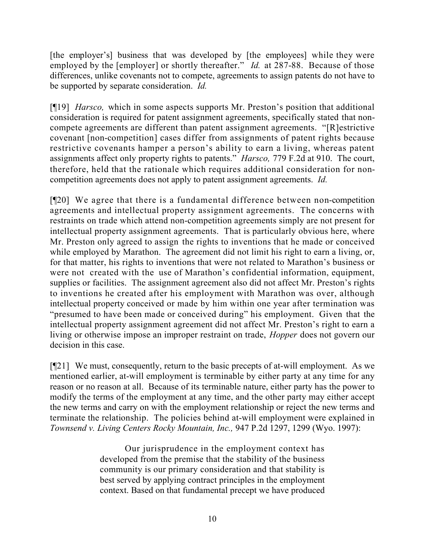[the employer's] business that was developed by [the employees] while they were employed by the [employer] or shortly thereafter." *Id.* at 287-88. Because of those differences, unlike covenants not to compete, agreements to assign patents do not have to be supported by separate consideration. *Id.* 

[¶19] *Harsco,* which in some aspects supports Mr. Preston's position that additional consideration is required for patent assignment agreements, specifically stated that noncompete agreements are different than patent assignment agreements. "[R]estrictive covenant [non-competition] cases differ from assignments of patent rights because restrictive covenants hamper a person's ability to earn a living, whereas patent assignments affect only property rights to patents." *Harsco,* 779 F.2d at 910. The court, therefore, held that the rationale which requires additional consideration for noncompetition agreements does not apply to patent assignment agreements. *Id.* 

[¶20] We agree that there is a fundamental difference between non-competition agreements and intellectual property assignment agreements. The concerns with restraints on trade which attend non-competition agreements simply are not present for intellectual property assignment agreements. That is particularly obvious here, where Mr. Preston only agreed to assign the rights to inventions that he made or conceived while employed by Marathon. The agreement did not limit his right to earn a living, or, for that matter, his rights to inventions that were not related to Marathon's business or were not created with the use of Marathon's confidential information, equipment, supplies or facilities. The assignment agreement also did not affect Mr. Preston's rights to inventions he created after his employment with Marathon was over, although intellectual property conceived or made by him within one year after termination was "presumed to have been made or conceived during" his employment. Given that the intellectual property assignment agreement did not affect Mr. Preston's right to earn a living or otherwise impose an improper restraint on trade, *Hopper* does not govern our decision in this case.

[¶21] We must, consequently, return to the basic precepts of at-will employment. As we mentioned earlier, at-will employment is terminable by either party at any time for any reason or no reason at all. Because of its terminable nature, either party has the power to modify the terms of the employment at any time, and the other party may either accept the new terms and carry on with the employment relationship or reject the new terms and terminate the relationship. The policies behind at-will employment were explained in *Townsend v. Living Centers Rocky Mountain, Inc.,* 947 P.2d 1297, 1299 (Wyo. 1997):

> Our jurisprudence in the employment context has developed from the premise that the stability of the business community is our primary consideration and that stability is best served by applying contract principles in the employment context. Based on that fundamental precept we have produced